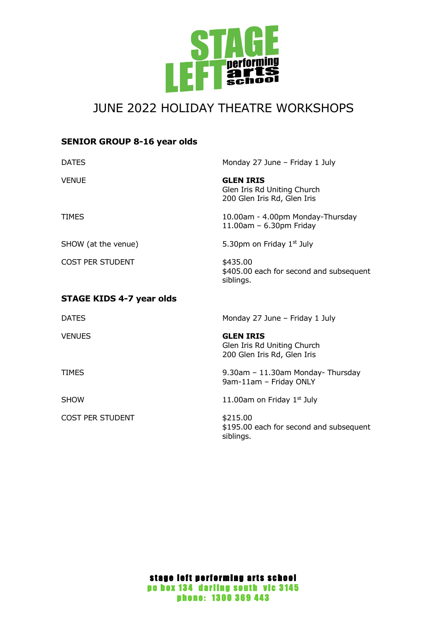

# JUNE 2022 HOLIDAY THEATRE WORKSHOPS

# **SENIOR GROUP 8-16 year olds**

| <b>DATES</b>                    | Monday 27 June - Friday 1 July                                                 |
|---------------------------------|--------------------------------------------------------------------------------|
| <b>VENUE</b>                    | <b>GLEN IRIS</b><br>Glen Iris Rd Uniting Church<br>200 Glen Iris Rd, Glen Iris |
| <b>TIMES</b>                    | 10.00am - 4.00pm Monday-Thursday<br>$11.00$ am - 6.30pm Friday                 |
| SHOW (at the venue)             | 5.30pm on Friday 1st July                                                      |
| <b>COST PER STUDENT</b>         | \$435.00<br>\$405.00 each for second and subsequent<br>siblings.               |
| <b>STAGE KIDS 4-7 year olds</b> |                                                                                |
| <b>DATES</b>                    | Monday 27 June - Friday 1 July                                                 |
| <b>VENUES</b>                   | <b>GLEN IRIS</b><br>Glen Iris Rd Uniting Church<br>200 Glen Iris Rd, Glen Iris |
| <b>TIMES</b>                    | 9.30am - 11.30am Monday- Thursday<br>9am-11am - Friday ONLY                    |
| <b>SHOW</b>                     | 11.00am on Friday $1st$ July                                                   |
| <b>COST PER STUDENT</b>         | \$215.00<br>\$195.00 each for second and subsequent<br>siblings.               |